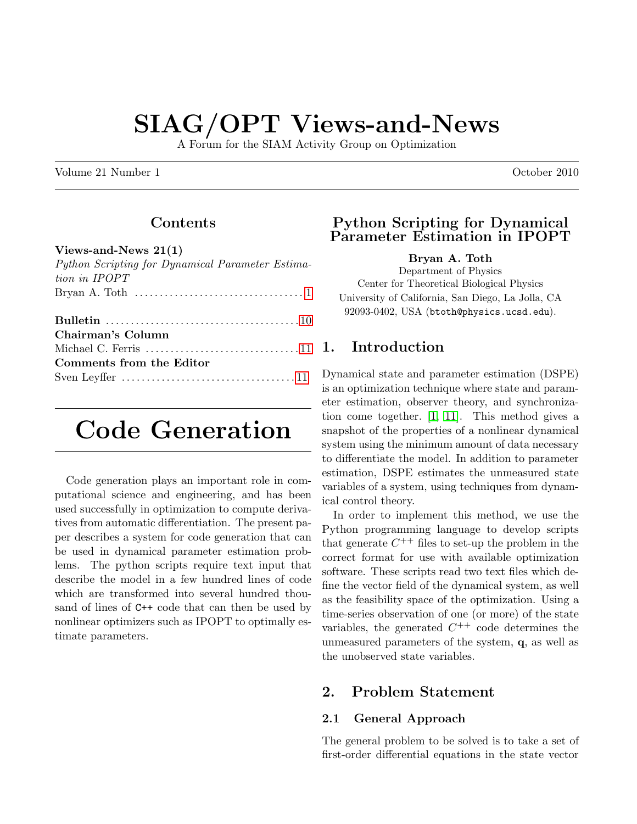# SIAG/OPT Views-and-News

A Forum for the SIAM Activity Group on Optimization

Volume 21 Number 1 Contract 1 October 2010

## Contents

#### Views-and-News 21(1)

| Python Scripting for Dynamical Parameter Estima-                             |
|------------------------------------------------------------------------------|
| tion in IPOPT                                                                |
| Bryan A. Toth $\dots\dots\dots\dots\dots\dots\dots\dots\dots\dots\dots\dots$ |
|                                                                              |
|                                                                              |
| Chairman's Column                                                            |
|                                                                              |
| Comments from the Editor                                                     |
|                                                                              |
|                                                                              |

# <span id="page-0-0"></span>Code Generation

Code generation plays an important role in computational science and engineering, and has been used successfully in optimization to compute derivatives from automatic differentiation. The present paper describes a system for code generation that can be used in dynamical parameter estimation problems. The python scripts require text input that describe the model in a few hundred lines of code which are transformed into several hundred thousand of lines of C++ code that can then be used by nonlinear optimizers such as IPOPT to optimally estimate parameters.

## Python Scripting for Dynamical Parameter Estimation in IPOPT

Bryan A. Toth

Department of Physics Center for Theoretical Biological Physics University of California, San Diego, La Jolla, CA 92093-0402, USA (btoth@physics.ucsd.edu).

## 1. Introduction

Dynamical state and parameter estimation (DSPE) is an optimization technique where state and parameter estimation, observer theory, and synchronization come together. [\[1,](#page-7-0) [11\]](#page-7-1). This method gives a snapshot of the properties of a nonlinear dynamical system using the minimum amount of data necessary to differentiate the model. In addition to parameter estimation, DSPE estimates the unmeasured state variables of a system, using techniques from dynamical control theory.

In order to implement this method, we use the Python programming language to develop scripts that generate  $C^{++}$  files to set-up the problem in the correct format for use with available optimization software. These scripts read two text files which define the vector field of the dynamical system, as well as the feasibility space of the optimization. Using a time-series observation of one (or more) of the state variables, the generated  $C^{++}$  code determines the unmeasured parameters of the system, q, as well as the unobserved state variables.

## 2. Problem Statement

## 2.1 General Approach

The general problem to be solved is to take a set of first-order differential equations in the state vector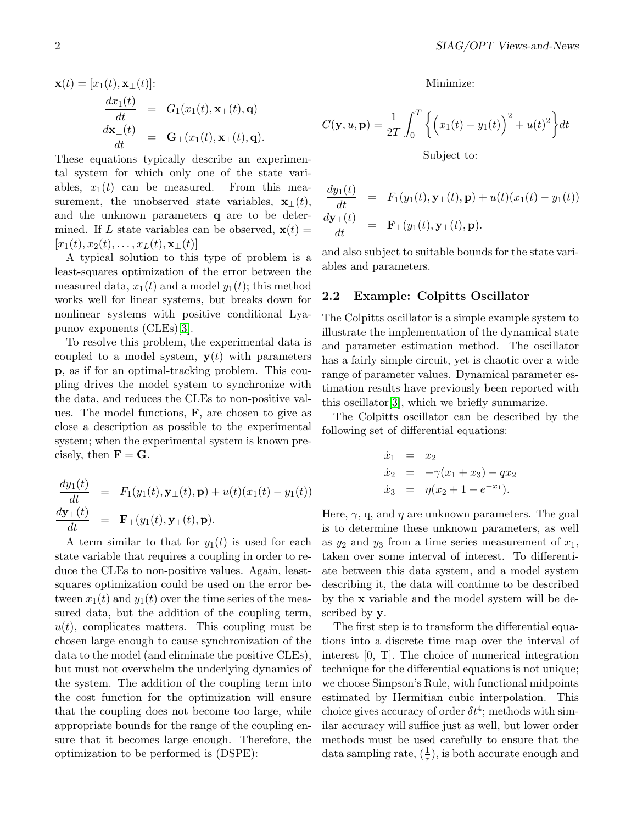$$
\mathbf{x}(t) = [x_1(t), \mathbf{x}_{\perp}(t)]:
$$
  
\n
$$
\frac{dx_1(t)}{dt} = G_1(x_1(t), \mathbf{x}_{\perp}(t), \mathbf{q})
$$
  
\n
$$
\frac{d\mathbf{x}_{\perp}(t)}{dt} = \mathbf{G}_{\perp}(x_1(t), \mathbf{x}_{\perp}(t), \mathbf{q}).
$$

These equations typically describe an experimental system for which only one of the state variables,  $x_1(t)$  can be measured. From this measurement, the unobserved state variables,  $\mathbf{x}_{\perp}(t)$ , and the unknown parameters q are to be determined. If L state variables can be observed,  $\mathbf{x}(t) =$  $[x_1(t), x_2(t), \ldots, x_L(t), \mathbf{x}_{\perp}(t)]$ 

A typical solution to this type of problem is a least-squares optimization of the error between the measured data,  $x_1(t)$  and a model  $y_1(t)$ ; this method works well for linear systems, but breaks down for nonlinear systems with positive conditional Lyapunov exponents (CLEs)[\[3\]](#page-7-2).

To resolve this problem, the experimental data is coupled to a model system,  $y(t)$  with parameters p, as if for an optimal-tracking problem. This coupling drives the model system to synchronize with the data, and reduces the CLEs to non-positive values. The model functions,  $\bf{F}$ , are chosen to give as close a description as possible to the experimental system; when the experimental system is known precisely, then  $\mathbf{F} = \mathbf{G}$ .

$$
\frac{dy_1(t)}{dt} = F_1(y_1(t), \mathbf{y}_{\perp}(t), \mathbf{p}) + u(t)(x_1(t) - y_1(t))
$$
\n
$$
\frac{d\mathbf{y}_{\perp}(t)}{dt} = \mathbf{F}_{\perp}(y_1(t), \mathbf{y}_{\perp}(t), \mathbf{p}).
$$

A term similar to that for  $y_1(t)$  is used for each state variable that requires a coupling in order to reduce the CLEs to non-positive values. Again, leastsquares optimization could be used on the error between  $x_1(t)$  and  $y_1(t)$  over the time series of the measured data, but the addition of the coupling term,  $u(t)$ , complicates matters. This coupling must be chosen large enough to cause synchronization of the data to the model (and eliminate the positive CLEs), but must not overwhelm the underlying dynamics of the system. The addition of the coupling term into the cost function for the optimization will ensure that the coupling does not become too large, while appropriate bounds for the range of the coupling ensure that it becomes large enough. Therefore, the optimization to be performed is (DSPE):

Minimize:

$$
C(\mathbf{y}, u, \mathbf{p}) = \frac{1}{2T} \int_0^T \left\{ \left( x_1(t) - y_1(t) \right)^2 + u(t)^2 \right\} dt
$$
  
Subject to:

$$
\frac{dy_1(t)}{dt} = F_1(y_1(t), \mathbf{y}_{\perp}(t), \mathbf{p}) + u(t)(x_1(t) - y_1(t))
$$
\n
$$
\frac{d\mathbf{y}_{\perp}(t)}{dt} = \mathbf{F}_{\perp}(y_1(t), \mathbf{y}_{\perp}(t), \mathbf{p}).
$$

and also subject to suitable bounds for the state variables and parameters.

#### 2.2 Example: Colpitts Oscillator

The Colpitts oscillator is a simple example system to illustrate the implementation of the dynamical state and parameter estimation method. The oscillator has a fairly simple circuit, yet is chaotic over a wide range of parameter values. Dynamical parameter estimation results have previously been reported with this oscillator[\[3\]](#page-7-2), which we briefly summarize.

The Colpitts oscillator can be described by the following set of differential equations:

$$
\dot{x}_1 = x_2 \n\dot{x}_2 = -\gamma(x_1 + x_3) - qx_2 \n\dot{x}_3 = \eta(x_2 + 1 - e^{-x_1}).
$$

Here,  $\gamma$ , q, and  $\eta$  are unknown parameters. The goal is to determine these unknown parameters, as well as  $y_2$  and  $y_3$  from a time series measurement of  $x_1$ , taken over some interval of interest. To differentiate between this data system, and a model system describing it, the data will continue to be described by the x variable and the model system will be described by y.

The first step is to transform the differential equations into a discrete time map over the interval of interest [0, T]. The choice of numerical integration technique for the differential equations is not unique; we choose Simpson's Rule, with functional midpoints estimated by Hermitian cubic interpolation. This choice gives accuracy of order  $\delta t^4$ ; methods with similar accuracy will suffice just as well, but lower order methods must be used carefully to ensure that the data sampling rate,  $(\frac{1}{\tau})$ , is both accurate enough and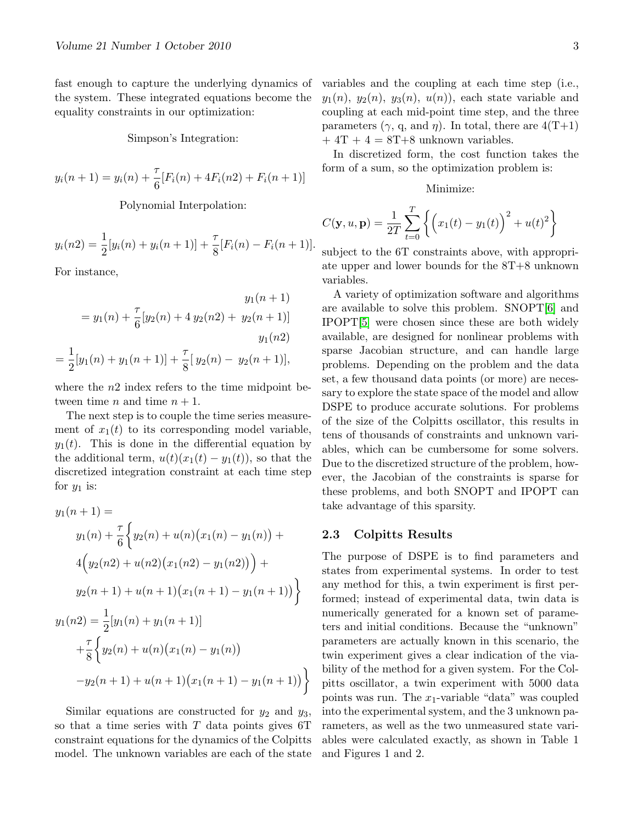fast enough to capture the underlying dynamics of the system. These integrated equations become the equality constraints in our optimization:

#### Simpson's Integration:

$$
y_i(n+1) = y_i(n) + \frac{\tau}{6} [F_i(n) + 4F_i(n2) + F_i(n+1)]
$$

Polynomial Interpolation:

$$
y_i(n2) = \frac{1}{2}[y_i(n) + y_i(n+1)] + \frac{\tau}{8}[F_i(n) - F_i(n+1)].
$$

For instance,

$$
y_1(n + 1)
$$
  
=  $y_1(n) + \frac{\tau}{6}[y_2(n) + 4 y_2(n2) + y_2(n + 1)]$   
 $y_1(n2)$   
=  $\frac{1}{2}[y_1(n) + y_1(n + 1)] + \frac{\tau}{8}[y_2(n) - y_2(n + 1)],$ 

where the  $n2$  index refers to the time midpoint between time *n* and time  $n + 1$ .

The next step is to couple the time series measurement of  $x_1(t)$  to its corresponding model variable,  $y_1(t)$ . This is done in the differential equation by the additional term,  $u(t)(x_1(t) - y_1(t))$ , so that the discretized integration constraint at each time step for  $y_1$  is:

$$
y_1(n+1) =
$$
  
\n
$$
y_1(n) + \frac{\tau}{6} \Big\{ y_2(n) + u(n) (x_1(n) - y_1(n)) +
$$
  
\n
$$
4(y_2(n2) + u(n2) (x_1(n2) - y_1(n2))) +
$$
  
\n
$$
y_2(n+1) + u(n+1) (x_1(n+1) - y_1(n+1)) \Big\}
$$
  
\n
$$
y_1(n2) = \frac{1}{2} [y_1(n) + y_1(n+1)]
$$
  
\n
$$
+ \frac{\tau}{8} \Big\{ y_2(n) + u(n) (x_1(n) - y_1(n)) -
$$
  
\n
$$
-y_2(n+1) + u(n+1) (x_1(n+1) - y_1(n+1)) \Big\}
$$

Similar equations are constructed for  $y_2$  and  $y_3$ , so that a time series with  $T$  data points gives  $6T$ constraint equations for the dynamics of the Colpitts model. The unknown variables are each of the state variables and the coupling at each time step (i.e.,  $y_1(n)$ ,  $y_2(n)$ ,  $y_3(n)$ ,  $u(n)$ , each state variable and coupling at each mid-point time step, and the three parameters  $(\gamma, q, \text{ and } \eta)$ . In total, there are  $4(T+1)$  $+ 4T + 4 = 8T + 8$  unknown variables.

In discretized form, the cost function takes the form of a sum, so the optimization problem is:

#### Minimize:

$$
C(\mathbf{y}, u, \mathbf{p}) = \frac{1}{2T} \sum_{t=0}^{T} \left\{ \left( x_1(t) - y_1(t) \right)^2 + u(t)^2 \right\}
$$

subject to the 6T constraints above, with appropriate upper and lower bounds for the 8T+8 unknown variables.

A variety of optimization software and algorithms are available to solve this problem. SNOPT[\[6\]](#page-7-3) and IPOPT[\[5\]](#page-7-4) were chosen since these are both widely available, are designed for nonlinear problems with sparse Jacobian structure, and can handle large problems. Depending on the problem and the data set, a few thousand data points (or more) are necessary to explore the state space of the model and allow DSPE to produce accurate solutions. For problems of the size of the Colpitts oscillator, this results in tens of thousands of constraints and unknown variables, which can be cumbersome for some solvers. Due to the discretized structure of the problem, however, the Jacobian of the constraints is sparse for these problems, and both SNOPT and IPOPT can take advantage of this sparsity.

#### 2.3 Colpitts Results

The purpose of DSPE is to find parameters and states from experimental systems. In order to test any method for this, a twin experiment is first performed; instead of experimental data, twin data is numerically generated for a known set of parameters and initial conditions. Because the "unknown" parameters are actually known in this scenario, the twin experiment gives a clear indication of the viability of the method for a given system. For the Colpitts oscillator, a twin experiment with 5000 data points was run. The  $x_1$ -variable "data" was coupled into the experimental system, and the 3 unknown parameters, as well as the two unmeasured state variables were calculated exactly, as shown in Table 1 and Figures 1 and 2.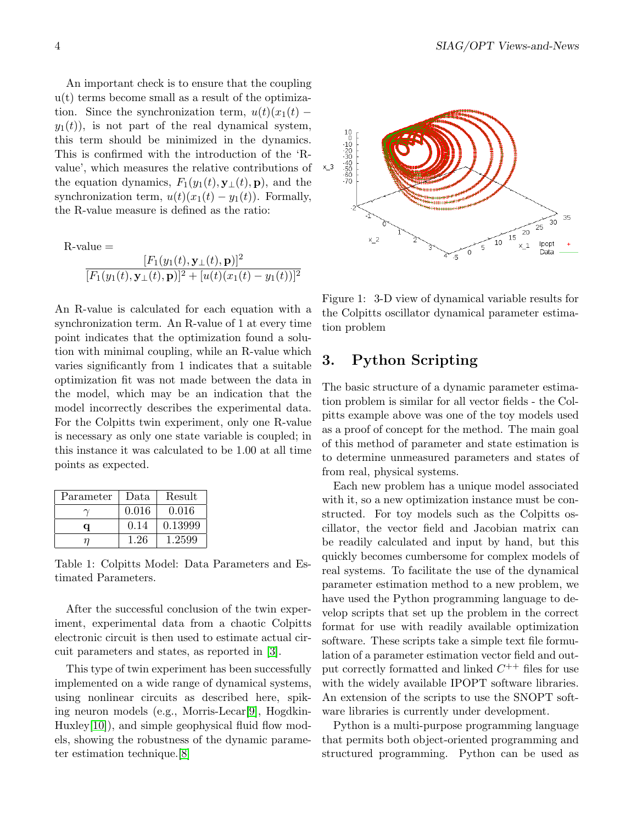An important check is to ensure that the coupling u(t) terms become small as a result of the optimization. Since the synchronization term,  $u(t)(x_1(t)$  $y_1(t)$ , is not part of the real dynamical system, this term should be minimized in the dynamics. This is confirmed with the introduction of the 'Rvalue', which measures the relative contributions of the equation dynamics,  $F_1(y_1(t), \mathbf{y}_{\perp}(t), \mathbf{p})$ , and the synchronization term,  $u(t)(x_1(t) - y_1(t))$ . Formally, the R-value measure is defined as the ratio:

 $R$ -value  $=$ 

$$
\frac{[F_1(y_1(t), \mathbf{y}_{\perp}(t), \mathbf{p})]^2}{[F_1(y_1(t), \mathbf{y}_{\perp}(t), \mathbf{p})]^2 + [u(t)(x_1(t) - y_1(t))]^2}
$$

An R-value is calculated for each equation with a synchronization term. An R-value of 1 at every time point indicates that the optimization found a solution with minimal coupling, while an R-value which varies significantly from 1 indicates that a suitable optimization fit was not made between the data in the model, which may be an indication that the model incorrectly describes the experimental data. For the Colpitts twin experiment, only one R-value is necessary as only one state variable is coupled; in this instance it was calculated to be 1.00 at all time points as expected.

| Parameter | Data  | Result  |
|-----------|-------|---------|
|           | 0.016 | 0.016   |
| а         | 0.14  | 0.13999 |
|           | 1.26  | 1.2599  |

Table 1: Colpitts Model: Data Parameters and Estimated Parameters.

After the successful conclusion of the twin experiment, experimental data from a chaotic Colpitts electronic circuit is then used to estimate actual circuit parameters and states, as reported in [\[3\]](#page-7-2).

This type of twin experiment has been successfully implemented on a wide range of dynamical systems, using nonlinear circuits as described here, spiking neuron models (e.g., Morris-Lecar[\[9\]](#page-7-5), Hogdkin-Huxley<sup>[\[10\]](#page-7-6)</sup>), and simple geophysical fluid flow models, showing the robustness of the dynamic parameter estimation technique.[\[8\]](#page-7-7)



Figure 1: 3-D view of dynamical variable results for the Colpitts oscillator dynamical parameter estimation problem

## 3. Python Scripting

The basic structure of a dynamic parameter estimation problem is similar for all vector fields - the Colpitts example above was one of the toy models used as a proof of concept for the method. The main goal of this method of parameter and state estimation is to determine unmeasured parameters and states of from real, physical systems.

Each new problem has a unique model associated with it, so a new optimization instance must be constructed. For toy models such as the Colpitts oscillator, the vector field and Jacobian matrix can be readily calculated and input by hand, but this quickly becomes cumbersome for complex models of real systems. To facilitate the use of the dynamical parameter estimation method to a new problem, we have used the Python programming language to develop scripts that set up the problem in the correct format for use with readily available optimization software. These scripts take a simple text file formulation of a parameter estimation vector field and output correctly formatted and linked  $C^{++}$  files for use with the widely available IPOPT software libraries. An extension of the scripts to use the SNOPT software libraries is currently under development.

Python is a multi-purpose programming language that permits both object-oriented programming and structured programming. Python can be used as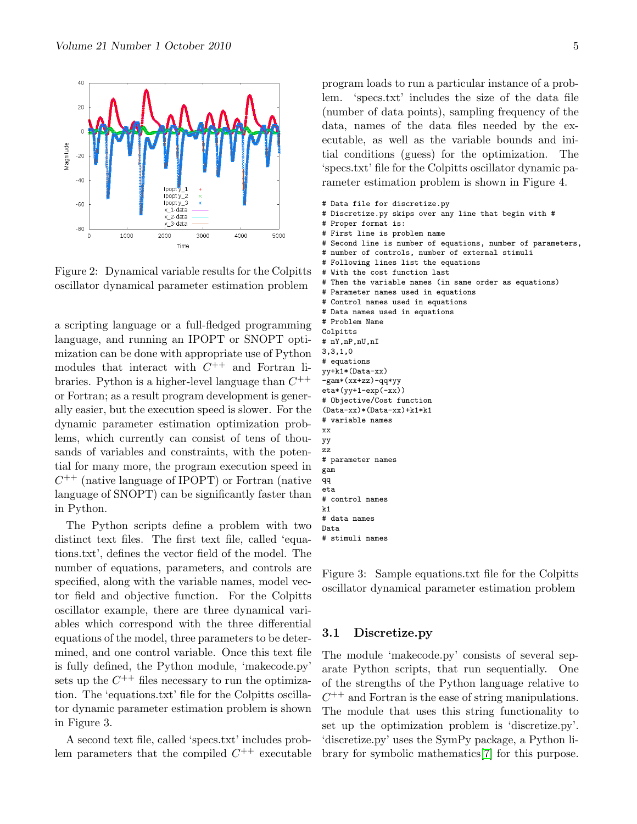

Figure 2: Dynamical variable results for the Colpitts oscillator dynamical parameter estimation problem

a scripting language or a full-fledged programming language, and running an IPOPT or SNOPT optimization can be done with appropriate use of Python modules that interact with  $C^{++}$  and Fortran libraries. Python is a higher-level language than  $C^{++}$ or Fortran; as a result program development is generally easier, but the execution speed is slower. For the dynamic parameter estimation optimization problems, which currently can consist of tens of thousands of variables and constraints, with the potential for many more, the program execution speed in  $C^{++}$  (native language of IPOPT) or Fortran (native language of SNOPT) can be significantly faster than in Python.

The Python scripts define a problem with two distinct text files. The first text file, called 'equations.txt', defines the vector field of the model. The number of equations, parameters, and controls are specified, along with the variable names, model vector field and objective function. For the Colpitts oscillator example, there are three dynamical variables which correspond with the three differential equations of the model, three parameters to be determined, and one control variable. Once this text file is fully defined, the Python module, 'makecode.py' sets up the  $C^{++}$  files necessary to run the optimization. The 'equations.txt' file for the Colpitts oscillator dynamic parameter estimation problem is shown in Figure 3.

A second text file, called 'specs.txt' includes problem parameters that the compiled  $C^{++}$  executable

program loads to run a particular instance of a problem. 'specs.txt' includes the size of the data file (number of data points), sampling frequency of the data, names of the data files needed by the executable, as well as the variable bounds and initial conditions (guess) for the optimization. The 'specs.txt' file for the Colpitts oscillator dynamic parameter estimation problem is shown in Figure 4.

- # Data file for discretize.py
- # Discretize.py skips over any line that begin with #
- # Proper format is:
- # First line is problem name
- # Second line is number of equations, number of parameters,
- # number of controls, number of external stimuli
- # Following lines list the equations # With the cost function last
- # Then the variable names (in same order as equations)
- # Parameter names used in equations
- # Control names used in equations
- # Data names used in equations
- # Problem Name Colpitts # nY,nP,nU,nI 3,3,1,0 # equations yy+k1\*(Data-xx) -gam\*(xx+zz)-qq\*yy eta\*(yy+1-exp(-xx)) # Objective/Cost function (Data-xx)\*(Data-xx)+k1\*k1 # variable names xx yy zz # parameter names gam qq eta # control names k1 # data names Data

# stimuli names

Figure 3: Sample equations.txt file for the Colpitts oscillator dynamical parameter estimation problem

#### 3.1 Discretize.py

The module 'makecode.py' consists of several separate Python scripts, that run sequentially. One of the strengths of the Python language relative to  $C^{++}$  and Fortran is the ease of string manipulations. The module that uses this string functionality to set up the optimization problem is 'discretize.py'. 'discretize.py' uses the SymPy package, a Python library for symbolic mathematics[\[7\]](#page-7-8) for this purpose.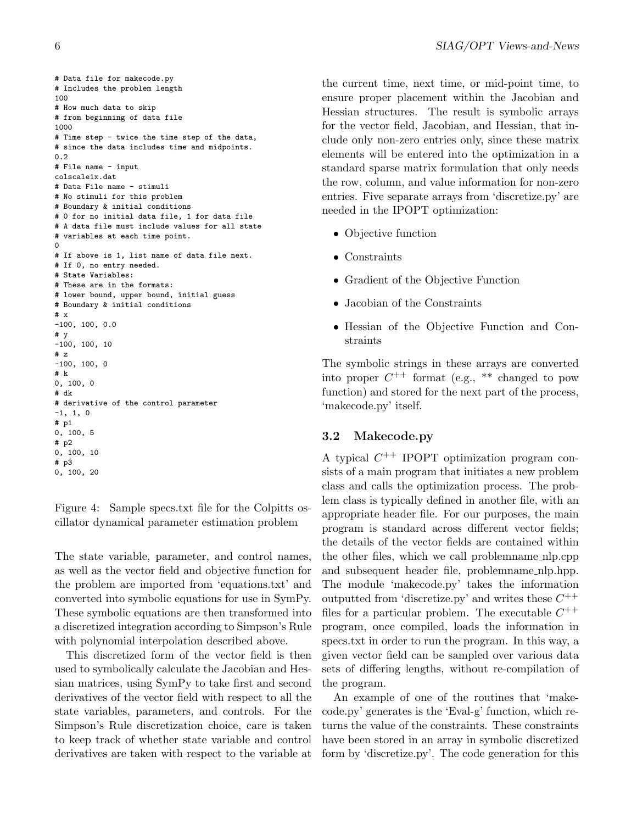```
# Data file for makecode.py
# Includes the problem length
100
# How much data to skip
# from beginning of data file
1000
# Time step - twice the time step of the data,
# since the data includes time and midpoints.
0.2
# File name - input
colscale1x.dat
# Data File name - stimuli
# No stimuli for this problem
# Boundary & initial conditions
# 0 for no initial data file, 1 for data file
# A data file must include values for all state
# variables at each time point.
\Omega# If above is 1, list name of data file next.
# If 0, no entry needed.
# State Variables:
# These are in the formats:
# lower bound, upper bound, initial guess
# Boundary & initial conditions
# x
-100, 100, 0.0# y
-100, 100, 10# z
-100, 100, 0
# k
0, 100, 0
# dk
# derivative of the control parameter
-1, 1, 0
# p1
0, 100, 5
# p2
0, 100, 10
# p3
0, 100, 20
```
Figure 4: Sample specs.txt file for the Colpitts oscillator dynamical parameter estimation problem

The state variable, parameter, and control names, as well as the vector field and objective function for the problem are imported from 'equations.txt' and converted into symbolic equations for use in SymPy. These symbolic equations are then transformed into a discretized integration according to Simpson's Rule with polynomial interpolation described above.

This discretized form of the vector field is then used to symbolically calculate the Jacobian and Hessian matrices, using SymPy to take first and second derivatives of the vector field with respect to all the state variables, parameters, and controls. For the Simpson's Rule discretization choice, care is taken to keep track of whether state variable and control derivatives are taken with respect to the variable at the current time, next time, or mid-point time, to ensure proper placement within the Jacobian and Hessian structures. The result is symbolic arrays for the vector field, Jacobian, and Hessian, that include only non-zero entries only, since these matrix elements will be entered into the optimization in a standard sparse matrix formulation that only needs the row, column, and value information for non-zero entries. Five separate arrays from 'discretize.py' are needed in the IPOPT optimization:

- Objective function
- Constraints
- Gradient of the Objective Function
- Jacobian of the Constraints
- Hessian of the Objective Function and Constraints

The symbolic strings in these arrays are converted into proper  $C^{++}$  format (e.g., \*\* changed to pow function) and stored for the next part of the process, 'makecode.py' itself.

## 3.2 Makecode.py

A typical  $C^{++}$  IPOPT optimization program consists of a main program that initiates a new problem class and calls the optimization process. The problem class is typically defined in another file, with an appropriate header file. For our purposes, the main program is standard across different vector fields; the details of the vector fields are contained within the other files, which we call problemname nlp.cpp and subsequent header file, problemname\_nlp.hpp. The module 'makecode.py' takes the information outputted from 'discretize.py' and writes these  $C^{++}$ files for a particular problem. The executable  $C^{++}$ program, once compiled, loads the information in specs.txt in order to run the program. In this way, a given vector field can be sampled over various data sets of differing lengths, without re-compilation of the program.

An example of one of the routines that 'makecode.py' generates is the 'Eval-g' function, which returns the value of the constraints. These constraints have been stored in an array in symbolic discretized form by 'discretize.py'. The code generation for this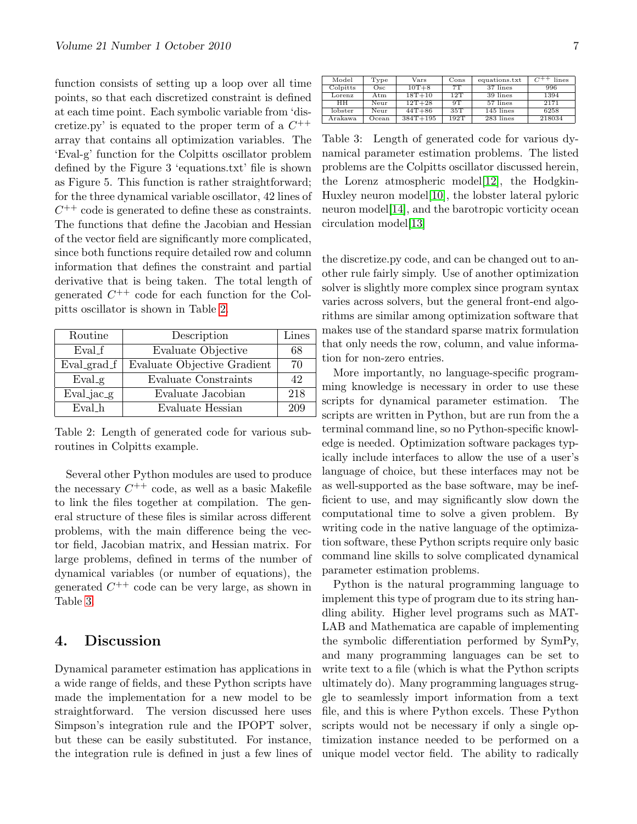function consists of setting up a loop over all time points, so that each discretized constraint is defined at each time point. Each symbolic variable from 'discretize.py' is equated to the proper term of a  $C^{++}$ array that contains all optimization variables. The 'Eval-g' function for the Colpitts oscillator problem defined by the Figure 3 'equations.txt' file is shown as Figure 5. This function is rather straightforward; for the three dynamical variable oscillator, 42 lines of  $C^{++}$  code is generated to define these as constraints. The functions that define the Jacobian and Hessian of the vector field are significantly more complicated, since both functions require detailed row and column information that defines the constraint and partial derivative that is being taken. The total length of generated  $C^{++}$  code for each function for the Colpitts oscillator is shown in Table [2.](#page-6-0)

| Routine      | Description                 | Lines |
|--------------|-----------------------------|-------|
| Eval_f       | Evaluate Objective          | 68    |
| Eval_grad_f  | Evaluate Objective Gradient | 70    |
| $Eval_g$     | Evaluate Constraints        | 42    |
| $Eval_iac_g$ | Evaluate Jacobian           | 218   |
| Evalh        | Evaluate Hessian            | 209   |

<span id="page-6-0"></span>Table 2: Length of generated code for various subroutines in Colpitts example.

Several other Python modules are used to produce the necessary  $C^{++}$  code, as well as a basic Makefile to link the files together at compilation. The general structure of these files is similar across different problems, with the main difference being the vector field, Jacobian matrix, and Hessian matrix. For large problems, defined in terms of the number of dynamical variables (or number of equations), the generated  $C^{++}$  code can be very large, as shown in Table [3.](#page-6-1)

## 4. Discussion

Dynamical parameter estimation has applications in a wide range of fields, and these Python scripts have made the implementation for a new model to be straightforward. The version discussed here uses Simpson's integration rule and the IPOPT solver, but these can be easily substituted. For instance, the integration rule is defined in just a few lines of

| Model    | Type  | Vars         | Cons | equations.txt | lines  |
|----------|-------|--------------|------|---------------|--------|
| Colpitts | Osc   | $10T+8$      | 7T   | 37 lines      | 996    |
| Lorenz   | Atm   | $18T + 10$   | 12T  | 39 lines      | 1394   |
| HH.      | Neur  | $12T + 28$   | 9T   | 57 lines      | 2171   |
| lobster  | Neur  | $44T + 86$   | 35T  | 145 lines     | 6258   |
| Arakawa  | Ocean | $384T + 195$ | 192T | 283 lines     | 218034 |

<span id="page-6-1"></span>Table 3: Length of generated code for various dynamical parameter estimation problems. The listed problems are the Colpitts oscillator discussed herein, the Lorenz atmospheric model[\[12\]](#page-7-9), the Hodgkin-Huxley neuron model[\[10\]](#page-7-6), the lobster lateral pyloric neuron model[\[14\]](#page-7-10), and the barotropic vorticity ocean circulation model[\[13\]](#page-7-11)

the discretize.py code, and can be changed out to another rule fairly simply. Use of another optimization solver is slightly more complex since program syntax varies across solvers, but the general front-end algorithms are similar among optimization software that makes use of the standard sparse matrix formulation that only needs the row, column, and value information for non-zero entries.

More importantly, no language-specific programming knowledge is necessary in order to use these scripts for dynamical parameter estimation. The scripts are written in Python, but are run from the a terminal command line, so no Python-specific knowledge is needed. Optimization software packages typically include interfaces to allow the use of a user's language of choice, but these interfaces may not be as well-supported as the base software, may be inefficient to use, and may significantly slow down the computational time to solve a given problem. By writing code in the native language of the optimization software, these Python scripts require only basic command line skills to solve complicated dynamical parameter estimation problems.

Python is the natural programming language to implement this type of program due to its string handling ability. Higher level programs such as MAT-LAB and Mathematica are capable of implementing the symbolic differentiation performed by SymPy, and many programming languages can be set to write text to a file (which is what the Python scripts ultimately do). Many programming languages struggle to seamlessly import information from a text file, and this is where Python excels. These Python scripts would not be necessary if only a single optimization instance needed to be performed on a unique model vector field. The ability to radically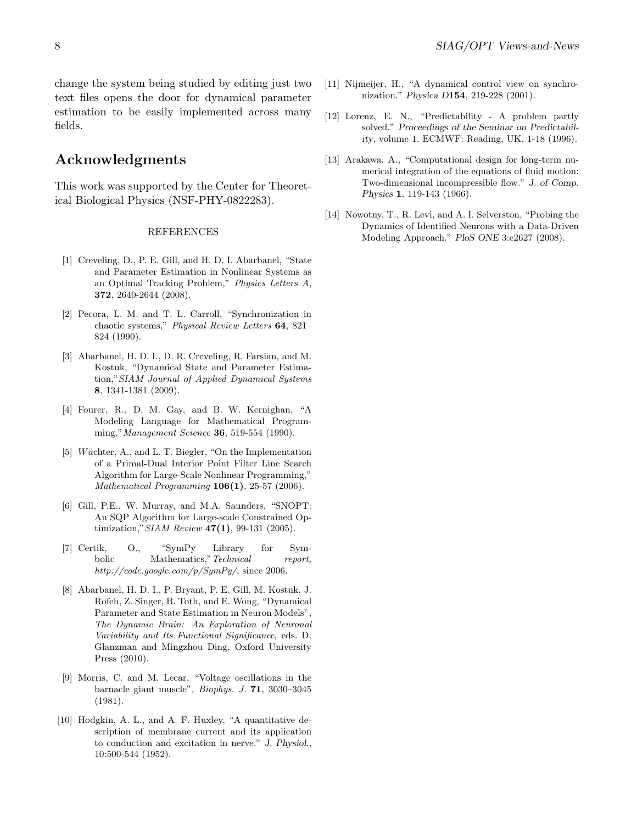change the system being studied by editing just two text files opens the door for dynamical parameter estimation to be easily implemented across many fields.

## Acknowledgments

This work was supported by the Center for Theoretical Biological Physics (NSF-PHY-0822283).

#### **REFERENCES**

- <span id="page-7-0"></span>[1] Creveling, D., P. E. Gill, and H. D. I. Abarbanel, "State and Parameter Estimation in Nonlinear Systems as an Optimal Tracking Problem," Physics Letters A, 372, 2640-2644 (2008).
- [2] Pecora, L. M. and T. L. Carroll, "Synchronization in chaotic systems," Physical Review Letters 64, 821– 824 (1990).
- <span id="page-7-2"></span>[3] Abarbanel, H. D. I., D. R. Creveling, R. Farsian, and M. Kostuk, "Dynamical State and Parameter Estimation,"SIAM Journal of Applied Dynamical Systems 8, 1341-1381 (2009).
- [4] Fourer, R., D. M. Gay, and B. W. Kernighan, "A Modeling Language for Mathematical Programming," Management Science **36**, 519-554 (1990).
- <span id="page-7-4"></span>[5] Wächter, A., and L. T. Biegler, "On the Implementation of a Primal-Dual Interior Point Filter Line Search Algorithm for Large-Scale Nonlinear Programming," Mathematical Programming  $106(1)$ , 25-57 (2006).
- <span id="page-7-3"></span>[6] Gill, P.E., W. Murray, and M.A. Saunders, "SNOPT: An SQP Algorithm for Large-scale Constrained Optimization," SIAM Review 47(1), 99-131 (2005).
- <span id="page-7-8"></span>[7] Certik, O., "SymPy Library for Symbolic Mathematics," Technical report, http://code.google.com/p/SymPy/, since 2006.
- <span id="page-7-7"></span>[8] Abarbanel, H. D. I., P. Bryant, P. E. Gill, M. Kostuk, J. Rofeh, Z. Singer, B. Toth, and E. Wong, "Dynamical Parameter and State Estimation in Neuron Models", The Dynamic Brain: An Exploration of Neuronal Variability and Its Functional Significance, eds. D. Glanzman and Mingzhou Ding, Oxford University Press (2010).
- <span id="page-7-5"></span>[9] Morris, C. and M. Lecar, "Voltage oscillations in the barnacle giant muscle", Biophys. J. 71, 3030–3045 (1981).
- <span id="page-7-6"></span>[10] Hodgkin, A. L., and A. F. Huxley, "A quantitative description of membrane current and its application to conduction and excitation in nerve." J. Physiol., 10:500-544 (1952).
- <span id="page-7-1"></span>[11] Nijmeijer, H., "A dynamical control view on synchronization." Physica D154, 219-228 (2001).
- <span id="page-7-9"></span>[12] Lorenz, E. N., "Predictability - A problem partly solved." Proceedings of the Seminar on Predictability, volume 1. ECMWF: Reading, UK, 1-18 (1996).
- <span id="page-7-11"></span>[13] Arakawa, A., "Computational design for long-term numerical integration of the equations of fluid motion: Two-dimensional incompressible flow." J. of Comp. Physics 1, 119-143 (1966).
- <span id="page-7-10"></span>[14] Nowotny, T., R. Levi, and A. I. Selverston, "Probing the Dynamics of Identified Neurons with a Data-Driven Modeling Approach." PloS ONE 3:e2627 (2008).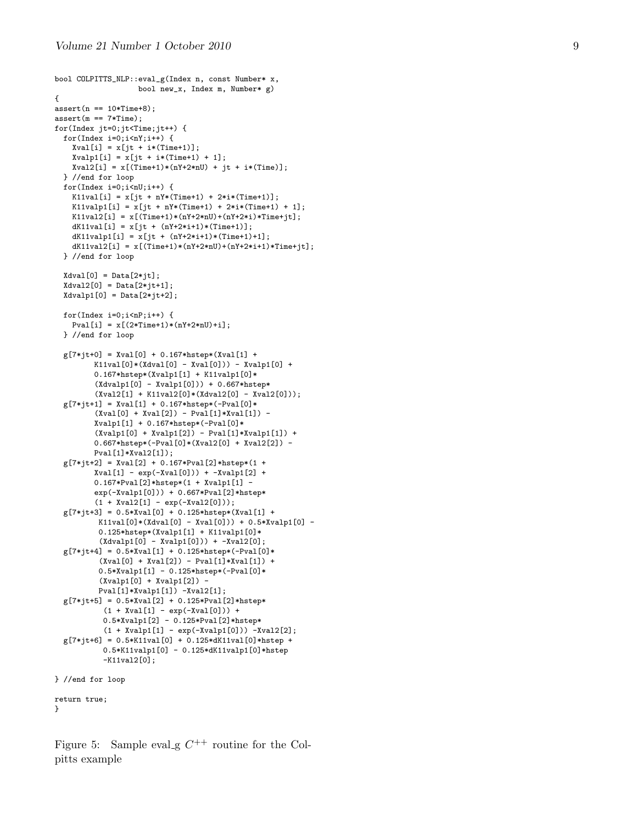```
bool COLPITTS_NLP::eval_g(Index n, const Number* x,
                   bool new_x, Index m, Number* g)
{
assert(n == 10*Time+8);assert(m == 7*Time);for(Index jt=0;jt<Time;jt++) {
 for(Index i=0; i\leq nY; i++) {
    Xval[i] = x[jt + i*(Time+1)];Xvalp1[i] = x[jt + i*(Time+1) + 1];Xval2[i] = x[(Time+1)*(nY+2*nU) + jt + i*(Time)];} //end for loop
  for(Index i=0; i < nU; i++) {
    K11val[i] = x[jt + nY*(Time+1) + 2*ix(Time+1)];K11valp1[i] = x[jt + nY*(Time+1) + 2*i*(Time+1) + 1];K11val2[i] = x[(Time+1)*(nY+2*nU)+(nY+2*i)*Time+jt];dK11val[i] = x[jt + (nY+2*1+1)*(Time+1)];dK11valp1[i] = x[jt + (nY+2*1+1)*(Time+1)+1];dK11val2[i] = x[(Time+1)*(nY+2*nU)+(nY+2*i+1)*Time+jt];
  } //end for loop
 Xdval[0] = Data[2*jt];Xdval2[0] = Data[2*jt+1];Xdvalp1[0] = Data[2*jt+2];for(Index i=0;i<nP;i++) {
   Pval[i] = x[(2*Time+1)*(nY+2*nU)+i];} //end for loop
  g[7*jt+0] = Xval[0] + 0.167*hstep*(Xval[1] +K11val[0] * (Xdval[0] - Xval[0])) - Xvalpl[0] +0.167*hstep*(Xvalp1[1] + K11valp1[0]*(Xdvalp1[0] - Xvalp1[0])) + 0.667*hstep*
         (Xval2[1] + K11val2[0] * (Xdval2[0] - Xval2[0]));
  g[7*it+1] = Xval[1] + 0.167*hstep*(-Pval[0]*(Xval[0] + Xval[2]) - Pval[1]*Xval[1]) -Xvalp1[1] + 0.167*hstep*(-Pval[0]*
         (Xvalp1[0] + Xvalp1[2]) - Pval[1]*Xvalp1[1]) +0.667*hstep*(-Pval[0]*(Xval2[0] + Xval2[2]) -
         Pval[1]*Xval2[1]);
  g[7*jt+2] = Xval[2] + 0.167*Pval[2]*hstep*(1 +
        Xval[1] - exp(-Xval[0])) + -Xvalpl[2] +0.167*Pval[2]*hstep*(1 + Xvalp1[1] -
        exp(-Xvalp1[0])) + 0.667*Pval[2]*hstep*
         (1 + Xval2[1] - exp(-Xval2[0]));
  g[7*jt+3] = 0.5*Xval[0] + 0.125*hstep*(Xval[1] +
          K11val[0]*(Xdval[0] - Xval[0])) + 0.5*Xvalp1[0] -
          0.125*hstep*(Xvalp1[1] + K11valp1[0]*
          (Xdvalp1[0] - Xvalp1[0])) + -Xval2[0];
  g[7*jt+4] = 0.5*Xval[1] + 0.125*hstep*(-Pval[0]*(Xval[0] + Xval[2]) - Pval[1]*Xval[1]) +0.5*Xvalp1[1] - 0.125*hstep*(-Pval[0]*
          (Xvalp1[0] + Xvalp1[2]) -
          Pval[1]*Xvalp1[1]) -Xval2[1];
  g[7*jt+5] = 0.5*Xval[2] + 0.125*Pval[2]*hstep*
           (1 + Xval[1] - exp(-Xval[0])) +0.5*Xvalp1[2] - 0.125*Pval[2]*hstep*
           (1 + Xvalp1[1] - exp(-Xvalp1[0])) - Xval2[2];g[7*jt+6] = 0.5*K11val[0] + 0.125*dK11val[0]*hstep +0.5*K11valp1[0] - 0.125*dK11valp1[0]*hstep
          -K11val2[0];
} //end for loop
return true; }
```
<span id="page-8-0"></span>Figure 5: Sample eval\_g  $C^{++}$  routine for the Colpitts example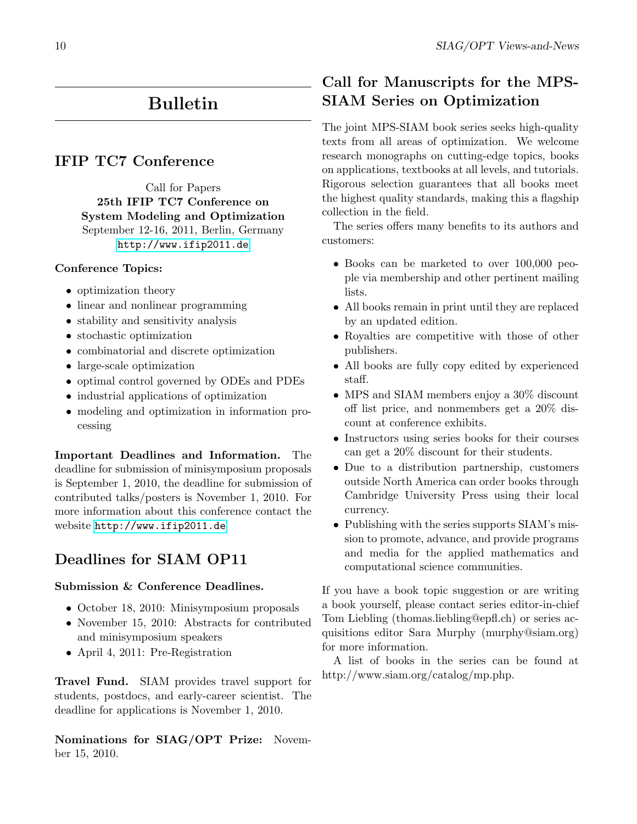# Bulletin

## <span id="page-9-0"></span>IFIP TC7 Conference

Call for Papers 25th IFIP TC7 Conference on System Modeling and Optimization September 12-16, 2011, Berlin, Germany <http://www.ifip2011.de>

## Conference Topics:

- optimization theory
- linear and nonlinear programming
- stability and sensitivity analysis
- stochastic optimization
- combinatorial and discrete optimization
- large-scale optimization
- optimal control governed by ODEs and PDEs
- industrial applications of optimization
- modeling and optimization in information processing

Important Deadlines and Information. The deadline for submission of minisymposium proposals is September 1, 2010, the deadline for submission of contributed talks/posters is November 1, 2010. For more information about this conference contact the website <http://www.ifip2011.de>

## Deadlines for SIAM OP11

#### Submission & Conference Deadlines.

- October 18, 2010: Minisymposium proposals
- November 15, 2010: Abstracts for contributed and minisymposium speakers
- April 4, 2011: Pre-Registration

Travel Fund. SIAM provides travel support for students, postdocs, and early-career scientist. The deadline for applications is November 1, 2010.

Nominations for SIAG/OPT Prize: November 15, 2010.

## Call for Manuscripts for the MPS-SIAM Series on Optimization

<span id="page-9-1"></span>The joint MPS-SIAM book series seeks high-quality texts from all areas of optimization. We welcome research monographs on cutting-edge topics, books on applications, textbooks at all levels, and tutorials. Rigorous selection guarantees that all books meet the highest quality standards, making this a flagship collection in the field.

The series offers many benefits to its authors and customers:

- Books can be marketed to over 100,000 people via membership and other pertinent mailing lists.
- All books remain in print until they are replaced by an updated edition.
- Royalties are competitive with those of other publishers.
- All books are fully copy edited by experienced staff.
- MPS and SIAM members enjoy a 30% discount off list price, and nonmembers get a 20% discount at conference exhibits.
- Instructors using series books for their courses can get a 20% discount for their students.
- Due to a distribution partnership, customers outside North America can order books through Cambridge University Press using their local currency.
- Publishing with the series supports SIAM's mission to promote, advance, and provide programs and media for the applied mathematics and computational science communities.

If you have a book topic suggestion or are writing a book yourself, please contact series editor-in-chief Tom Liebling (thomas.liebling@epfl.ch) or series acquisitions editor Sara Murphy (murphy@siam.org) for more information.

A list of books in the series can be found at http://www.siam.org/catalog/mp.php.